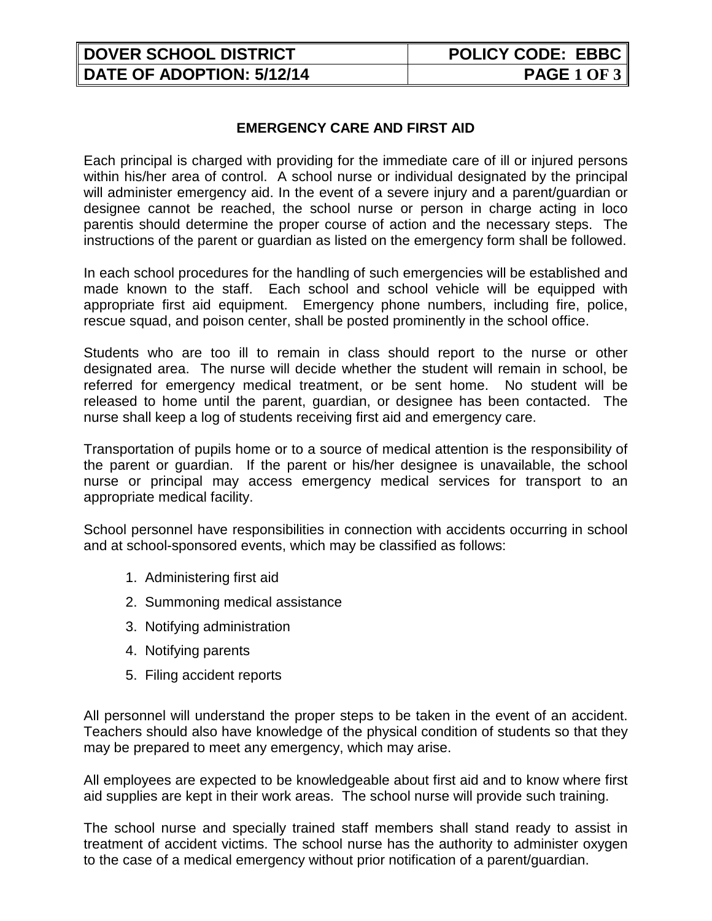| <b>DOVER SCHOOL DISTRICT</b>     | <b>POLICY CODE: EBBC</b> |
|----------------------------------|--------------------------|
| <b>DATE OF ADOPTION: 5/12/14</b> | <b>PAGE 1 OF 3</b>       |

## **EMERGENCY CARE AND FIRST AID**

Each principal is charged with providing for the immediate care of ill or injured persons within his/her area of control. A school nurse or individual designated by the principal will administer emergency aid. In the event of a severe injury and a parent/guardian or designee cannot be reached, the school nurse or person in charge acting in loco parentis should determine the proper course of action and the necessary steps. The instructions of the parent or guardian as listed on the emergency form shall be followed.

In each school procedures for the handling of such emergencies will be established and made known to the staff. Each school and school vehicle will be equipped with appropriate first aid equipment. Emergency phone numbers, including fire, police, rescue squad, and poison center, shall be posted prominently in the school office.

Students who are too ill to remain in class should report to the nurse or other designated area. The nurse will decide whether the student will remain in school, be referred for emergency medical treatment, or be sent home. No student will be released to home until the parent, guardian, or designee has been contacted. The nurse shall keep a log of students receiving first aid and emergency care.

Transportation of pupils home or to a source of medical attention is the responsibility of the parent or guardian. If the parent or his/her designee is unavailable, the school nurse or principal may access emergency medical services for transport to an appropriate medical facility.

School personnel have responsibilities in connection with accidents occurring in school and at school-sponsored events, which may be classified as follows:

- 1. Administering first aid
- 2. Summoning medical assistance
- 3. Notifying administration
- 4. Notifying parents
- 5. Filing accident reports

All personnel will understand the proper steps to be taken in the event of an accident. Teachers should also have knowledge of the physical condition of students so that they may be prepared to meet any emergency, which may arise.

All employees are expected to be knowledgeable about first aid and to know where first aid supplies are kept in their work areas. The school nurse will provide such training.

The school nurse and specially trained staff members shall stand ready to assist in treatment of accident victims. The school nurse has the authority to administer oxygen to the case of a medical emergency without prior notification of a parent/guardian.